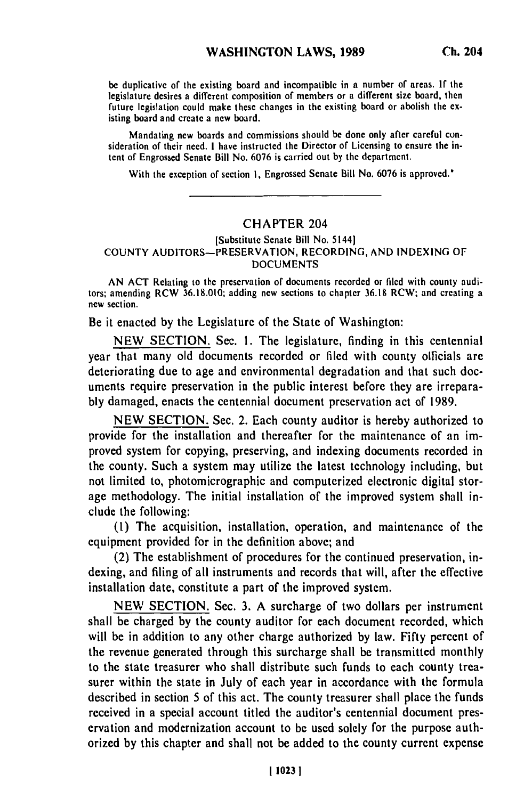be duplicative of the existing board and incompatible in a number of areas. **If** the legislature desires a different composition of members or a different size board, then future desires a different composition of includers or a different size board, then<br>future legislation could make these changes in the existing board or abolish the existing board and could make these

Mandating new boards and commissions should be done only after careful consideration of their need. **I** have instructed the Director of Licensing to ensure the intent of Engrossed Senate Bill No. 6076 is carried out by the department.

With the exception of section **1**, Engrossed Senate Bill No. 6076 is approved.<sup>\*</sup>

## CHAPTER 204

## [Substitute Senate Bill No. **5144] COUNTY** AUDITORS-PRESERVATION, RECORDING, **AND** INDEXING OF **DOCUMENTS**

AN **ACT** Relating to the preservation of documents recorded or filed with county auditors; amending RCW **36.18.010;** adding new sections to chapter **36.18** RCW; and creating a **new** section.

Be it enacted **by** the Legislature of the State of Washington:

**NEW** SECTION. Sec. **1.** The legislature, finding in this centennial year that many old documents recorded or filed with county olficials are deteriorating due to age and environmental degradation and that such documents require preservation in the public interest before they are irrepara**bly** damaged, enacts the centennial document preservation act of 1989.

**NEW** SECTION. Sec. 2. Each county auditor is hereby authorized to provide for the installation and thereafter for the maintenance of an improved system for copying, preserving, and indexing documents recorded in the county. Such a system may utilize the latest technology including, but not limited to, photomicrographic and computerized electronic digital storage methodology. The initial installation of the improved system shall include the following:

**(1)** The acquisition, installation, operation, and maintenance of the equipment provided for in the definition above; and

(2) The establishment of procedures for the continued preservation, indexing, and filing of all instruments and records that will, after the effective installation date, constitute a part of the improved system.

**NEW** SECTION. Sec. **3.** A surcharge of two dollars per instrument shall be charged **by** the county auditor for each document recorded, which will be in addition to any other charge authorized **by** law. Fifty percent of the revenue generated through this surcharge shall be transmitted monthly to the state treasurer who shall distribute such funds to each county treasurer within the state in July of each year in accordance with the formula described in section **5** of this act. The county treasurer shall place the funds received in a special account titled the auditor's centennial document preservation and modernization account to be used solely for the purpose authorized **by** this chapter and shall not be added to the county current expense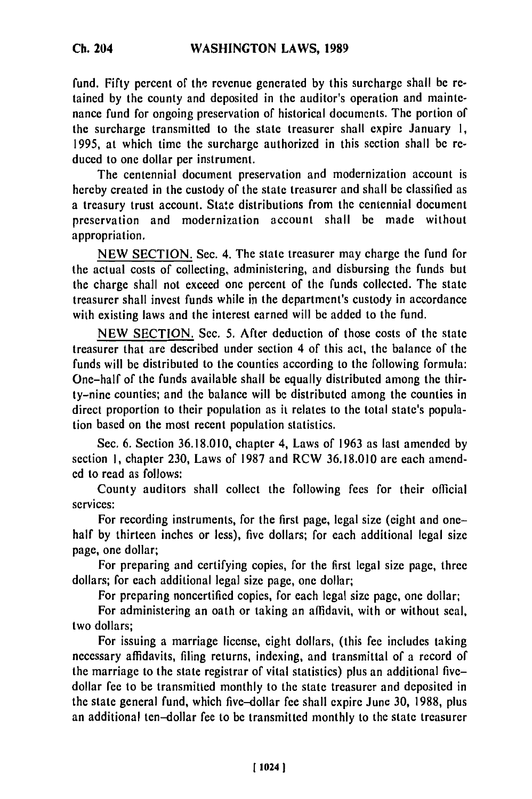fund. Fifty percent of the revenue generated by this surcharge shall **be** retained by the county and deposited in the auditor's operation and maintenance fund for ongoing preservation of historical documents. The portion of the surcharge transmitted to the state treasurer shall expire January **1,** 1995, at which time the surcharge authorized in this section shall be reduced to one dollar per instrument.

The centennial document preservation and modernization account is hereby created in the custody of the state treasurer and shall be classified as a treasury trust account. State distributions from the centennial document preservation and modernization account shall be made without appropriation.

NEW SECTION. Sec. 4. The state treasurer may charge the fund for the actual costs of collecting, administering, and disbursing the funds but the charge shall not exceed one percent of the funds collected. The state treasurer shall invest funds while in the department's custody in accordance with existing laws and the interest earned will be added to the fund.

NEW SECTION. Sec. 5. After deduction of those costs of the state treasurer that are described under section 4 of this act, the balance of the funds will be distributed to the counties according to the following formula: One-half of the funds available shall be equally distributed among the thirty-nine counties; and the balance will be distributed among the counties in direct proportion to their population as it relates to the total state's population based on the most recent population statistics.

Sec, 6. Section 36.18.010, chapter 4, Laws of 1963 as last amended by section **1,** chapter 230, Laws of 1987 and RCW 36.18.010 are each amended to read as follows:

County auditors shall collect the following fees for their official services:

For recording instruments, for the first page, legal size (eight and onehalf by thirteen inches or less), five dollars; for each additional legal size page, one dollar;

For preparing and certifying copies, for the first legal size page, three dollars; for each additional legal size page, one dollar;

For preparing noncertified copies, for each legal size page, one dollar;

For administering an oath or taking an affidavit, with or without seal, two dollars;

For issuing a marriage license, eight dollars, (this fee includes taking necessary affidavits, filing returns, indexing, and transmittal of a record of the marriage to the state registrar of vital statistics) plus an additional fivedollar fee to be transmitted monthly to the state treasurer and deposited in the state general fund, which five-dollar fee shall expire June 30, 1988, plus an additional ten-dollar fee to be transmitted monthly to the state treasurer